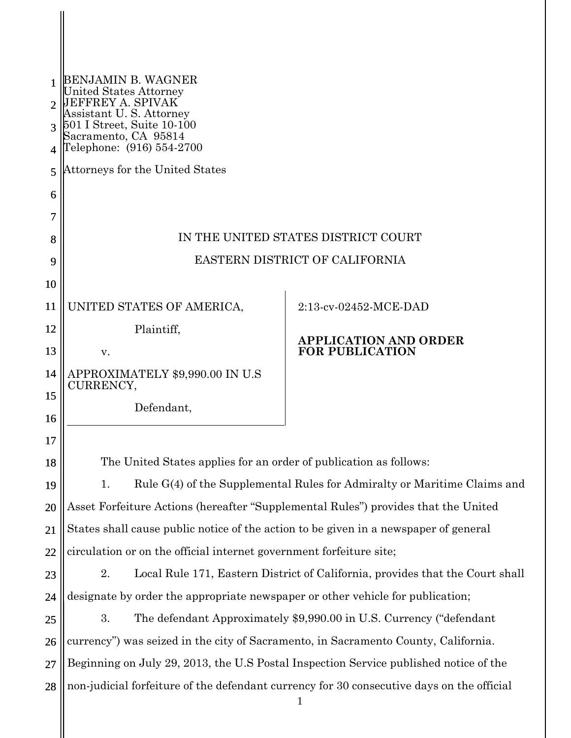| 2<br>3<br>4 | BENJAMIN B. WAGNER<br><b>United States Attorney</b><br>JEFFREY A. SPIVAK<br>Assistant U.S. Attorney<br>501 I Street, Suite 10-100<br>Sacramento, CA 95814<br>Telephone: (916) 554-2700 |                              |  |  |  |  |
|-------------|----------------------------------------------------------------------------------------------------------------------------------------------------------------------------------------|------------------------------|--|--|--|--|
| 5           | Attorneys for the United States                                                                                                                                                        |                              |  |  |  |  |
| 6           |                                                                                                                                                                                        |                              |  |  |  |  |
| 7           |                                                                                                                                                                                        |                              |  |  |  |  |
| 8           | IN THE UNITED STATES DISTRICT COURT                                                                                                                                                    |                              |  |  |  |  |
| 9           | EASTERN DISTRICT OF CALIFORNIA                                                                                                                                                         |                              |  |  |  |  |
| 10          |                                                                                                                                                                                        |                              |  |  |  |  |
| 11          | UNITED STATES OF AMERICA,                                                                                                                                                              | 2:13-cv-02452-MCE-DAD        |  |  |  |  |
| 12          | Plaintiff,                                                                                                                                                                             | <b>APPLICATION AND ORDER</b> |  |  |  |  |
| 13          | V.                                                                                                                                                                                     | <b>FOR PUBLICATION</b>       |  |  |  |  |
| 14          | APPROXIMATELY \$9,990.00 IN U.S<br><b>CURRENCY,</b>                                                                                                                                    |                              |  |  |  |  |
| 15          | Defendant,                                                                                                                                                                             |                              |  |  |  |  |
| 16          |                                                                                                                                                                                        |                              |  |  |  |  |
| 17          |                                                                                                                                                                                        |                              |  |  |  |  |
| 18          | The United States applies for an order of publication as follows:                                                                                                                      |                              |  |  |  |  |
| 19          | Rule G(4) of the Supplemental Rules for Admiralty or Maritime Claims and<br>1.                                                                                                         |                              |  |  |  |  |
| 20          | Asset Forfeiture Actions (hereafter "Supplemental Rules") provides that the United                                                                                                     |                              |  |  |  |  |
| 21          | States shall cause public notice of the action to be given in a newspaper of general                                                                                                   |                              |  |  |  |  |
| 22          | circulation or on the official internet government forfeiture site;                                                                                                                    |                              |  |  |  |  |
| 23          | 2.<br>Local Rule 171, Eastern District of California, provides that the Court shall                                                                                                    |                              |  |  |  |  |
| 24          | designate by order the appropriate newspaper or other vehicle for publication;                                                                                                         |                              |  |  |  |  |
| 25          | 3.<br>The defendant Approximately \$9,990.00 in U.S. Currency ("defendant"                                                                                                             |                              |  |  |  |  |
| 26          | currency") was seized in the city of Sacramento, in Sacramento County, California.                                                                                                     |                              |  |  |  |  |
| 27          | Beginning on July 29, 2013, the U.S Postal Inspection Service published notice of the                                                                                                  |                              |  |  |  |  |
| 28          | non-judicial forfeiture of the defendant currency for 30 consecutive days on the official                                                                                              |                              |  |  |  |  |